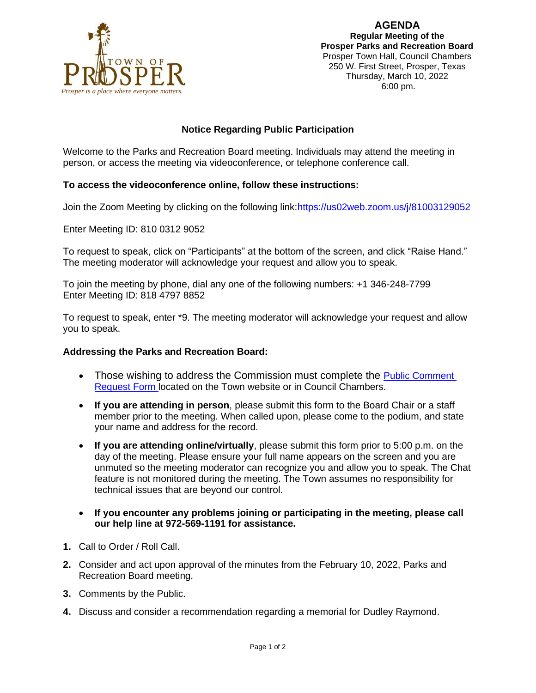

### **Notice Regarding Public Participation**

Welcome to the Parks and Recreation Board meeting. Individuals may attend the meeting in person, or access the meeting via videoconference, or telephone conference call.

### **To access the videoconference online, follow these instructions:**

Join the Zoom Meeting by clicking on the following link:https://us02web.zoom.us/j/81003129052

Enter Meeting ID: 810 0312 9052

To request to speak, click on "Participants" at the bottom of the screen, and click "Raise Hand." The meeting moderator will acknowledge your request and allow you to speak.

To join the meeting by phone, dial any one of the following numbers: +1 346-248-7799 Enter Meeting ID: 818 4797 8852

To request to speak, enter \*9. The meeting moderator will acknowledge your request and allow you to speak.

#### **Addressing the Parks and Recreation Board:**

- Those wishing to address the Commission must complete the Public Comment [Request Form](https://www.prospertx.gov/wp-content/uploads/Public-Mtg-Card-Side-1-2-Combined_virtual_fillable-4.pdf) located on the Town website or in Council Chambers.
- **If you are attending in person**, please submit this form to the Board Chair or a staff member prior to the meeting. When called upon, please come to the podium, and state your name and address for the record.
- **If you are attending online/virtually**, please submit this form prior to 5:00 p.m. on the day of the meeting. Please ensure your full name appears on the screen and you are unmuted so the meeting moderator can recognize you and allow you to speak. The Chat feature is not monitored during the meeting. The Town assumes no responsibility for technical issues that are beyond our control.
- **If you encounter any problems joining or participating in the meeting, please call our help line at 972-569-1191 for assistance.**
- **1.** Call to Order / Roll Call.
- **2.** Consider and act upon approval of the minutes from the February 10, 2022, Parks and Recreation Board meeting.
- **3.** Comments by the Public.
- **4.** Discuss and consider a recommendation regarding a memorial for Dudley Raymond.